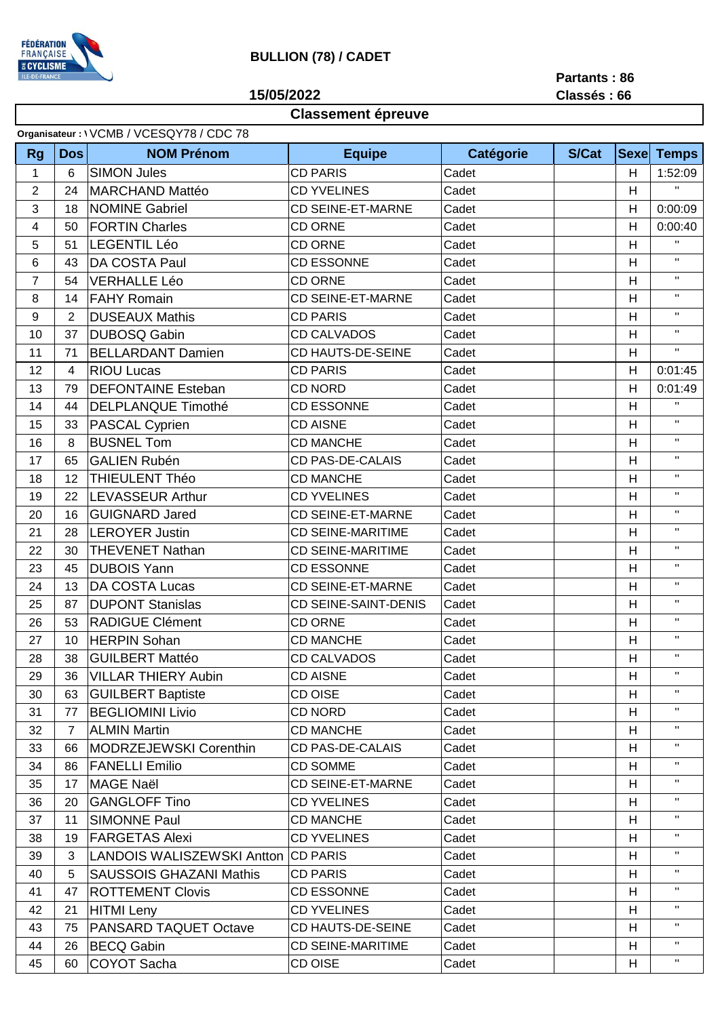

## **BULLION (78) / CADET**

**15/05/2022**

**Partants : 86 Classés : 66**

## **Classement épreuve**

| Organisateur: \ VCMB / VCESQY78 / CDC 78 |                |                |                                     |                             |           |       |             |                           |  |  |  |
|------------------------------------------|----------------|----------------|-------------------------------------|-----------------------------|-----------|-------|-------------|---------------------------|--|--|--|
|                                          | <b>Rg</b>      | <b>Dos</b>     | <b>NOM Prénom</b>                   | <b>Equipe</b>               | Catégorie | S/Cat | <b>Sexe</b> | <b>Temps</b>              |  |  |  |
|                                          | 1              | 6              | <b>SIMON Jules</b>                  | <b>CD PARIS</b>             | Cadet     |       | H           | 1:52:09                   |  |  |  |
|                                          | $\overline{2}$ | 24             | <b>MARCHAND Mattéo</b>              | <b>CD YVELINES</b>          | Cadet     |       | H           | H.                        |  |  |  |
|                                          | 3              | 18             | <b>NOMINE Gabriel</b>               | <b>CD SEINE-ET-MARNE</b>    | Cadet     |       | H           | 0:00:09                   |  |  |  |
|                                          | 4              | 50             | <b>FORTIN Charles</b>               | <b>CD ORNE</b>              | Cadet     |       | H           | 0:00:40                   |  |  |  |
|                                          | 5              | 51             | <b>LEGENTIL Léo</b>                 | <b>CD ORNE</b>              | Cadet     |       | H           | $\mathbf H$               |  |  |  |
|                                          | 6              | 43             | <b>DA COSTA Paul</b>                | <b>CD ESSONNE</b>           | Cadet     |       | H           | $\mathbf{H}$              |  |  |  |
|                                          | $\overline{7}$ | 54             | <b>VERHALLE Léo</b>                 | <b>CD ORNE</b>              | Cadet     |       | H           | $\mathbf H$               |  |  |  |
|                                          | 8              | 14             | <b>FAHY Romain</b>                  | CD SEINE-ET-MARNE           | Cadet     |       | H           | $\mathbf H$               |  |  |  |
|                                          | 9              | $\overline{2}$ | <b>DUSEAUX Mathis</b>               | <b>CD PARIS</b>             | Cadet     |       | H           | $\mathbf H$               |  |  |  |
|                                          | 10             | 37             | <b>DUBOSQ Gabin</b>                 | <b>CD CALVADOS</b>          | Cadet     |       | H           | $\mathbf H$               |  |  |  |
|                                          | 11             | 71             | <b>BELLARDANT Damien</b>            | CD HAUTS-DE-SEINE           | Cadet     |       | H           | $\mathbf{H}$              |  |  |  |
|                                          | 12             | 4              | <b>RIOU Lucas</b>                   | <b>CD PARIS</b>             | Cadet     |       | H           | 0:01:45                   |  |  |  |
|                                          | 13             | 79             | <b>DEFONTAINE Esteban</b>           | <b>CD NORD</b>              | Cadet     |       | H           | 0:01:49                   |  |  |  |
|                                          | 14             | 44             | <b>DELPLANQUE Timothé</b>           | <b>CD ESSONNE</b>           | Cadet     |       | H           | $\mathbf{H}$              |  |  |  |
|                                          | 15             | 33             | <b>PASCAL Cyprien</b>               | <b>CD AISNE</b>             | Cadet     |       | H           | $\mathbf H$               |  |  |  |
|                                          | 16             | 8              | <b>BUSNEL Tom</b>                   | <b>CD MANCHE</b>            | Cadet     |       | H           | $\mathbf H$               |  |  |  |
|                                          | 17             | 65             | <b>GALIEN Rubén</b>                 | <b>CD PAS-DE-CALAIS</b>     | Cadet     |       | H           | $\mathbf H$               |  |  |  |
|                                          | 18             | 12             | <b>THIEULENT Théo</b>               | <b>CD MANCHE</b>            | Cadet     |       | H           | $\mathbf H$               |  |  |  |
|                                          | 19             | 22             | <b>LEVASSEUR Arthur</b>             | <b>CD YVELINES</b>          | Cadet     |       | H           | $\mathbf H$               |  |  |  |
|                                          | 20             | 16             | <b>GUIGNARD Jared</b>               | <b>CD SEINE-ET-MARNE</b>    | Cadet     |       | H           | $\mathbf H$               |  |  |  |
|                                          | 21             | 28             | <b>LEROYER Justin</b>               | <b>CD SEINE-MARITIME</b>    | Cadet     |       | H           | $\mathbf H$               |  |  |  |
|                                          | 22             | 30             | <b>THEVENET Nathan</b>              | <b>CD SEINE-MARITIME</b>    | Cadet     |       | H           | $\mathbf H$               |  |  |  |
|                                          | 23             | 45             | <b>DUBOIS Yann</b>                  | <b>CD ESSONNE</b>           | Cadet     |       | H           | $\mathbf H$               |  |  |  |
|                                          | 24             | 13             | DA COSTA Lucas                      | <b>CD SEINE-ET-MARNE</b>    | Cadet     |       | H           | $\mathbf H$               |  |  |  |
|                                          | 25             | 87             | <b>DUPONT Stanislas</b>             | <b>CD SEINE-SAINT-DENIS</b> | Cadet     |       | H           | $\mathbf H$               |  |  |  |
|                                          | 26             | 53             | <b>RADIGUE Clément</b>              | <b>CD ORNE</b>              | Cadet     |       | H           | $\mathbf H$               |  |  |  |
|                                          | 27             | 10             | <b>HERPIN Sohan</b>                 | <b>CD MANCHE</b>            | Cadet     |       | H           | $\mathbf H$               |  |  |  |
|                                          | 28             | 38             | <b>GUILBERT Mattéo</b>              | <b>CD CALVADOS</b>          | Cadet     |       | H           | $\mathbf H$               |  |  |  |
|                                          | 29             | 36             | <b>VILLAR THIERY Aubin</b>          | <b>CD AISNE</b>             | Cadet     |       | H           | $\mathbf{H}$              |  |  |  |
|                                          | 30             | 63             | <b>GUILBERT Baptiste</b>            | CD OISE                     | Cadet     |       | H           | $\mathbf H$               |  |  |  |
|                                          | 31             | 77             | <b>BEGLIOMINI Livio</b>             | <b>CD NORD</b>              | Cadet     |       | H           | $\mathbf H$               |  |  |  |
|                                          | 32             | $\overline{7}$ | <b>ALMIN Martin</b>                 | <b>CD MANCHE</b>            | Cadet     |       | H           | $\mathbf H$               |  |  |  |
|                                          | 33             | 66             | MODRZEJEWSKI Corenthin              | <b>CD PAS-DE-CALAIS</b>     | Cadet     |       | H           | $\mathbf H$               |  |  |  |
|                                          | 34             | 86             | <b>FANELLI Emilio</b>               | <b>CD SOMME</b>             | Cadet     |       | H           | $\mathbf H$               |  |  |  |
|                                          | 35             | 17             | <b>MAGE Naël</b>                    | <b>CD SEINE-ET-MARNE</b>    | Cadet     |       | H           | $\mathbf{H}$              |  |  |  |
|                                          | 36             | 20             | <b>GANGLOFF Tino</b>                | <b>CD YVELINES</b>          | Cadet     |       | H           | $\mathbf H$               |  |  |  |
|                                          | 37             | 11             | <b>SIMONNE Paul</b>                 | <b>CD MANCHE</b>            | Cadet     |       | H           | $\mathbf{H}$              |  |  |  |
|                                          | 38             | 19             | <b>FARGETAS Alexi</b>               | <b>CD YVELINES</b>          | Cadet     |       | H           | $\mathbf H$               |  |  |  |
|                                          | 39             | 3              | LANDOIS WALISZEWSKI Antton CD PARIS |                             | Cadet     |       | H           | $\mathbf H$               |  |  |  |
|                                          | 40             | 5              | <b>SAUSSOIS GHAZANI Mathis</b>      | <b>CD PARIS</b>             | Cadet     |       | H           | $\mathbf H$               |  |  |  |
|                                          | 41             | 47             | <b>ROTTEMENT Clovis</b>             | <b>CD ESSONNE</b>           | Cadet     |       | H           | $\mathbf H$               |  |  |  |
|                                          | 42             | 21             | <b>HITMI</b> Leny                   | <b>CD YVELINES</b>          | Cadet     |       | H           | $\mathbf H$               |  |  |  |
|                                          | 43             | 75             | PANSARD TAQUET Octave               | CD HAUTS-DE-SEINE           | Cadet     |       | H           | $\mathbf H$               |  |  |  |
|                                          | 44             | 26             | <b>BECQ Gabin</b>                   | <b>CD SEINE-MARITIME</b>    | Cadet     |       | H           | $\mathbf{H}_{\mathbf{r}}$ |  |  |  |
|                                          | 45             | 60             | COYOT Sacha                         | CD OISE                     | Cadet     |       | H           | $\mathbf{H}$              |  |  |  |
|                                          |                |                |                                     |                             |           |       |             |                           |  |  |  |